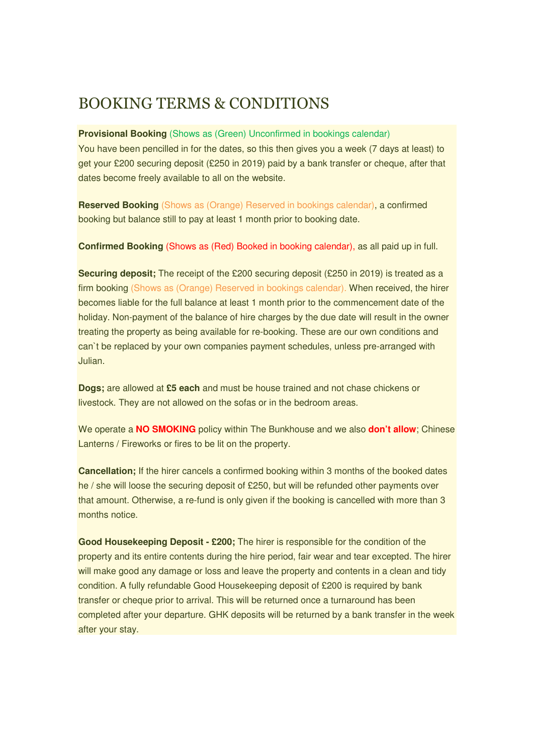## BOOKING TERMS & CONDITIONS

## **Provisional Booking** (Shows as (Green) Unconfirmed in bookings calendar)

You have been pencilled in for the dates, so this then gives you a week (7 days at least) to get your £200 securing deposit (£250 in 2019) paid by a bank transfer or cheque, after that dates become freely available to all on the website.

**Reserved Booking** (Shows as (Orange) Reserved in bookings calendar), a confirmed booking but balance still to pay at least 1 month prior to booking date.

**Confirmed Booking** (Shows as (Red) Booked in booking calendar), as all paid up in full.

**Securing deposit;** The receipt of the £200 securing deposit (£250 in 2019) is treated as a firm booking (Shows as (Orange) Reserved in bookings calendar). When received, the hirer becomes liable for the full balance at least 1 month prior to the commencement date of the holiday. Non-payment of the balance of hire charges by the due date will result in the owner treating the property as being available for re-booking. These are our own conditions and can`t be replaced by your own companies payment schedules, unless pre-arranged with Julian.

**Dogs;** are allowed at **£5 each** and must be house trained and not chase chickens or livestock. They are not allowed on the sofas or in the bedroom areas.

We operate a **NO SMOKING** policy within The Bunkhouse and we also **don't allow**; Chinese Lanterns / Fireworks or fires to be lit on the property.

**Cancellation;** If the hirer cancels a confirmed booking within 3 months of the booked dates he / she will loose the securing deposit of £250, but will be refunded other payments over that amount. Otherwise, a re-fund is only given if the booking is cancelled with more than 3 months notice.

**Good Housekeeping Deposit - £200;** The hirer is responsible for the condition of the property and its entire contents during the hire period, fair wear and tear excepted. The hirer will make good any damage or loss and leave the property and contents in a clean and tidy condition. A fully refundable Good Housekeeping deposit of £200 is required by bank transfer or cheque prior to arrival. This will be returned once a turnaround has been completed after your departure. GHK deposits will be returned by a bank transfer in the week after your stay.